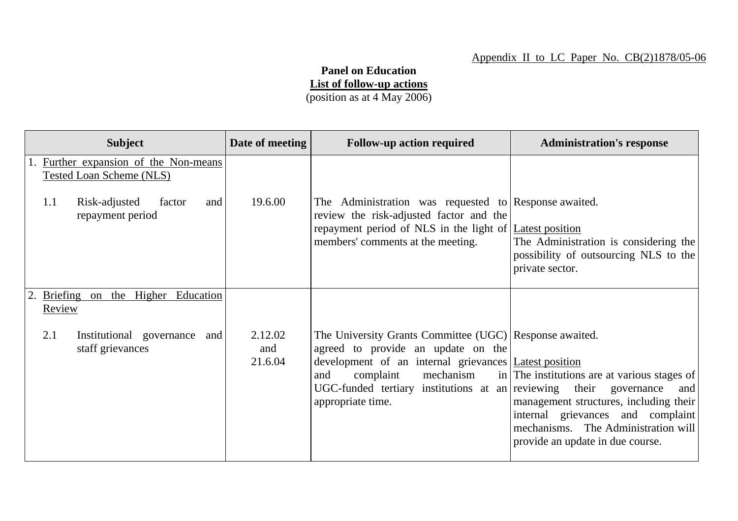## **Panel on Education List of follow-up actions**

(position as at 4 May 2006)

| <b>Subject</b>                                                                                                                 | Date of meeting           | <b>Follow-up action required</b>                                                                                                                                                                                                                                                  | <b>Administration's response</b>                                                                                                                                                                              |
|--------------------------------------------------------------------------------------------------------------------------------|---------------------------|-----------------------------------------------------------------------------------------------------------------------------------------------------------------------------------------------------------------------------------------------------------------------------------|---------------------------------------------------------------------------------------------------------------------------------------------------------------------------------------------------------------|
| 1. Further expansion of the Non-means<br>Tested Loan Scheme (NLS)<br>Risk-adjusted<br>1.1<br>factor<br>and<br>repayment period | 19.6.00                   | The Administration was requested to Response awaited.<br>review the risk-adjusted factor and the<br>repayment period of NLS in the light of Latest position<br>members' comments at the meeting.                                                                                  | The Administration is considering the<br>possibility of outsourcing NLS to the<br>private sector.                                                                                                             |
| Briefing on the Higher Education<br><b>Review</b>                                                                              |                           |                                                                                                                                                                                                                                                                                   |                                                                                                                                                                                                               |
| 2.1<br>Institutional governance and<br>staff grievances                                                                        | 2.12.02<br>and<br>21.6.04 | The University Grants Committee (UGC) Response awaited.<br>agreed to provide an update on the<br>development of an internal grievances Latest position<br>complaint<br>mechanism<br>and<br>UGC-funded tertiary institutions at an reviewing their governance<br>appropriate time. | in The institutions are at various stages of<br>and<br>management structures, including their<br>internal grievances and complaint<br>mechanisms. The Administration will<br>provide an update in due course. |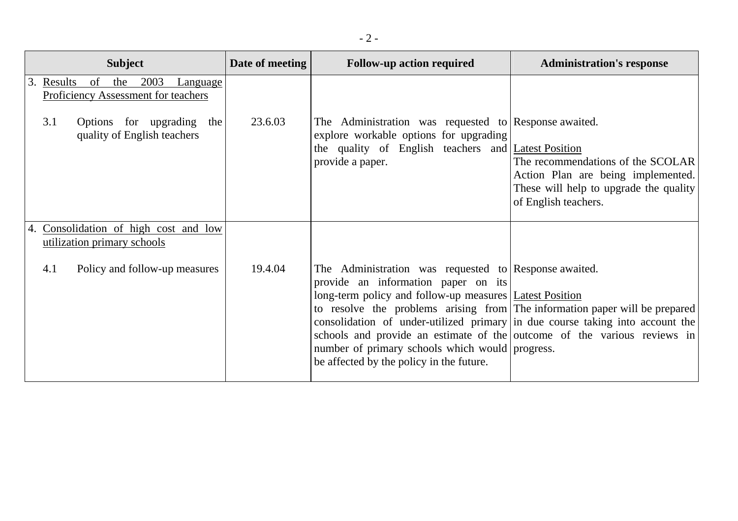| <b>Subject</b>                                                                                                                                     | Date of meeting | <b>Follow-up action required</b>                                                                                                                                                                                                                                                                                                                                                                                                                                                                     | <b>Administration's response</b>                                                                                                          |
|----------------------------------------------------------------------------------------------------------------------------------------------------|-----------------|------------------------------------------------------------------------------------------------------------------------------------------------------------------------------------------------------------------------------------------------------------------------------------------------------------------------------------------------------------------------------------------------------------------------------------------------------------------------------------------------------|-------------------------------------------------------------------------------------------------------------------------------------------|
| 2003<br>Results of the<br>Language<br>3.<br>Proficiency Assessment for teachers<br>3.1<br>Options for upgrading the<br>quality of English teachers | 23.6.03         | The Administration was requested to Response awaited.<br>explore workable options for upgrading<br>the quality of English teachers and <i>Latest Position</i><br>provide a paper.                                                                                                                                                                                                                                                                                                                    | The recommendations of the SCOLAR<br>Action Plan are being implemented.<br>These will help to upgrade the quality<br>of English teachers. |
| 4. Consolidation of high cost and low<br>utilization primary schools                                                                               |                 |                                                                                                                                                                                                                                                                                                                                                                                                                                                                                                      |                                                                                                                                           |
| Policy and follow-up measures<br>4.1                                                                                                               | 19.4.04         | The Administration was requested to Response awaited.<br>provide an information paper on its<br>long-term policy and follow-up measures   Latest Position<br>to resolve the problems arising from The information paper will be prepared<br>consolidation of under-utilized primary in due course taking into account the<br>schools and provide an estimate of the outcome of the various reviews in<br>number of primary schools which would progress.<br>be affected by the policy in the future. |                                                                                                                                           |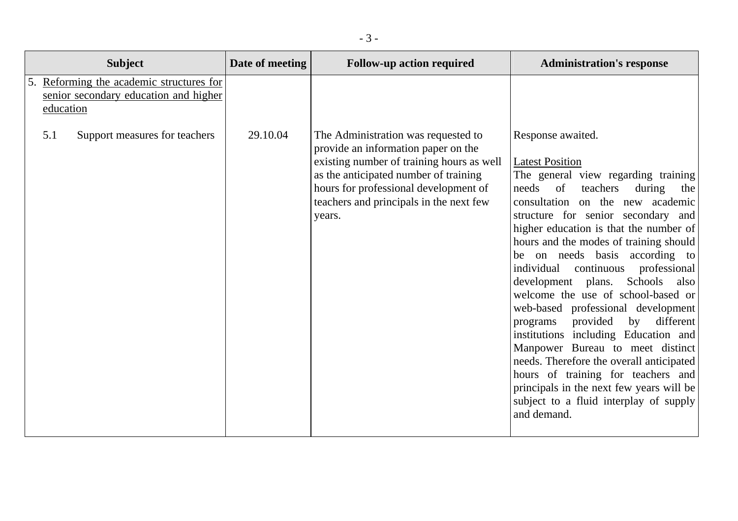| <b>Subject</b>                                                                                 | Date of meeting | <b>Follow-up action required</b>                                                                                                                                                                                                                               | <b>Administration's response</b>                                                                                                                                                                                                                                                                                                                                                                                                                                                                                                                                                                                                                                                                                                                                                                        |
|------------------------------------------------------------------------------------------------|-----------------|----------------------------------------------------------------------------------------------------------------------------------------------------------------------------------------------------------------------------------------------------------------|---------------------------------------------------------------------------------------------------------------------------------------------------------------------------------------------------------------------------------------------------------------------------------------------------------------------------------------------------------------------------------------------------------------------------------------------------------------------------------------------------------------------------------------------------------------------------------------------------------------------------------------------------------------------------------------------------------------------------------------------------------------------------------------------------------|
| 5. Reforming the academic structures for<br>senior secondary education and higher<br>education |                 |                                                                                                                                                                                                                                                                |                                                                                                                                                                                                                                                                                                                                                                                                                                                                                                                                                                                                                                                                                                                                                                                                         |
| 5.1<br>Support measures for teachers                                                           | 29.10.04        | The Administration was requested to<br>provide an information paper on the<br>existing number of training hours as well<br>as the anticipated number of training<br>hours for professional development of<br>teachers and principals in the next few<br>years. | Response awaited.<br><b>Latest Position</b><br>The general view regarding training<br>needs<br>of<br>teachers<br>during<br>the<br>consultation on the new academic<br>structure for senior secondary and<br>higher education is that the number of<br>hours and the modes of training should<br>be on needs basis according to<br>individual<br>professional<br>continuous<br>development plans. Schools<br>also<br>welcome the use of school-based or<br>web-based professional development<br>programs provided<br>by<br>different<br>institutions including Education and<br>Manpower Bureau to meet distinct<br>needs. Therefore the overall anticipated<br>hours of training for teachers and<br>principals in the next few years will be<br>subject to a fluid interplay of supply<br>and demand. |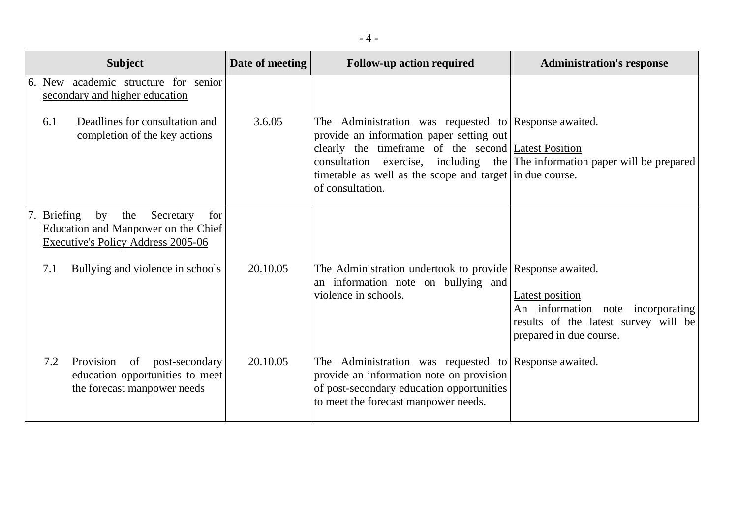|    | <b>Subject</b>                                                                                                                                   | Date of meeting | <b>Follow-up action required</b>                                                                                                                                                                                   | <b>Administration's response</b>                                                                                        |
|----|--------------------------------------------------------------------------------------------------------------------------------------------------|-----------------|--------------------------------------------------------------------------------------------------------------------------------------------------------------------------------------------------------------------|-------------------------------------------------------------------------------------------------------------------------|
|    | 6. New academic structure for senior<br>secondary and higher education<br>Deadlines for consultation and<br>6.1<br>completion of the key actions | 3.6.05          | The Administration was requested to Response awaited.<br>provide an information paper setting out                                                                                                                  |                                                                                                                         |
|    |                                                                                                                                                  |                 | clearly the timeframe of the second Latest Position<br>consultation exercise, including the The information paper will be prepared<br>timetable as well as the scope and target in due course.<br>of consultation. |                                                                                                                         |
| 7. | <b>Briefing</b><br>Secretary<br>by<br>the<br>for<br>Education and Manpower on the Chief<br><b>Executive's Policy Address 2005-06</b>             |                 |                                                                                                                                                                                                                    |                                                                                                                         |
|    | Bullying and violence in schools<br>7.1                                                                                                          | 20.10.05        | The Administration undertook to provide Response awaited.<br>an information note on bullying and<br>violence in schools.                                                                                           | Latest position<br>An information note incorporating<br>results of the latest survey will be<br>prepared in due course. |
|    | 7.2<br>Provision<br>of post-secondary<br>education opportunities to meet<br>the forecast manpower needs                                          | 20.10.05        | The Administration was requested to Response awaited.<br>provide an information note on provision<br>of post-secondary education opportunities<br>to meet the forecast manpower needs.                             |                                                                                                                         |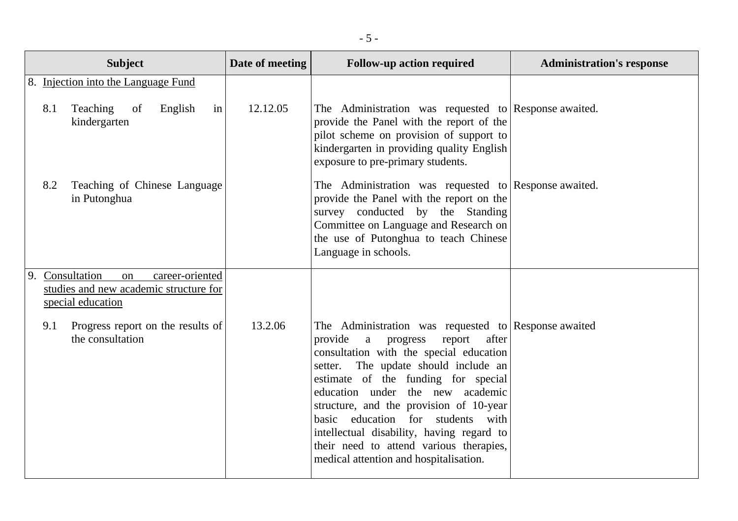|    | <b>Subject</b>                                                                                       | Date of meeting | <b>Follow-up action required</b>                                                                                                                                                                                                                                                                                                                                                                                                                                                    | <b>Administration's response</b> |
|----|------------------------------------------------------------------------------------------------------|-----------------|-------------------------------------------------------------------------------------------------------------------------------------------------------------------------------------------------------------------------------------------------------------------------------------------------------------------------------------------------------------------------------------------------------------------------------------------------------------------------------------|----------------------------------|
|    | 8. Injection into the Language Fund                                                                  |                 |                                                                                                                                                                                                                                                                                                                                                                                                                                                                                     |                                  |
|    | in<br>Teaching<br>English<br>8.1<br>of<br>kindergarten                                               | 12.12.05        | The Administration was requested to Response awaited.<br>provide the Panel with the report of the<br>pilot scheme on provision of support to<br>kindergarten in providing quality English<br>exposure to pre-primary students.                                                                                                                                                                                                                                                      |                                  |
|    | Teaching of Chinese Language<br>8.2<br>in Putonghua                                                  |                 | The Administration was requested to Response awaited.<br>provide the Panel with the report on the<br>survey conducted by the Standing<br>Committee on Language and Research on<br>the use of Putonghua to teach Chinese<br>Language in schools.                                                                                                                                                                                                                                     |                                  |
| 9. | Consultation<br>career-oriented<br>on<br>studies and new academic structure for<br>special education |                 |                                                                                                                                                                                                                                                                                                                                                                                                                                                                                     |                                  |
|    | Progress report on the results of<br>9.1<br>the consultation                                         | 13.2.06         | The Administration was requested to Response awaited<br>provide<br>a progress<br>report<br>after<br>consultation with the special education<br>The update should include an<br>setter.<br>estimate of the funding for special<br>education under the new academic<br>structure, and the provision of 10-year<br>basic education for students with<br>intellectual disability, having regard to<br>their need to attend various therapies,<br>medical attention and hospitalisation. |                                  |

- 5 -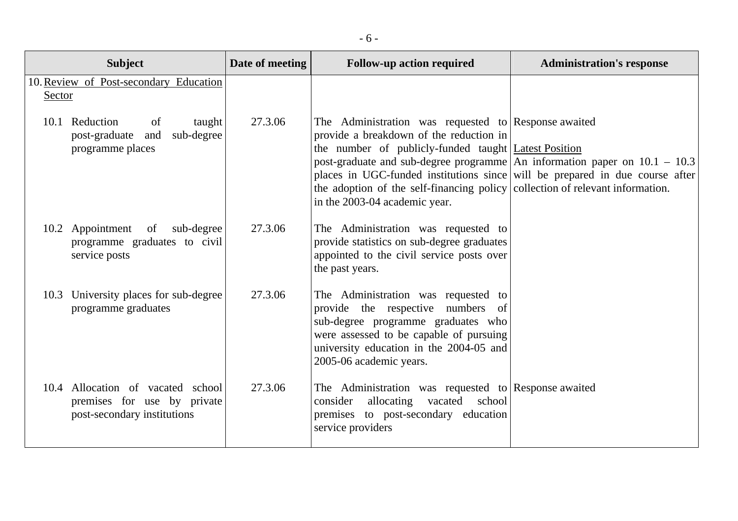| <b>Subject</b>                                                                                  | Date of meeting | <b>Follow-up action required</b>                                                                                                                                                                                                                                                                                                                                                                                                            | <b>Administration's response</b> |
|-------------------------------------------------------------------------------------------------|-----------------|---------------------------------------------------------------------------------------------------------------------------------------------------------------------------------------------------------------------------------------------------------------------------------------------------------------------------------------------------------------------------------------------------------------------------------------------|----------------------------------|
| 10. Review of Post-secondary Education<br>Sector                                                |                 |                                                                                                                                                                                                                                                                                                                                                                                                                                             |                                  |
| 10.1 Reduction<br>of<br>taught<br>sub-degree<br>post-graduate and<br>programme places           | 27.3.06         | The Administration was requested to Response awaited<br>provide a breakdown of the reduction in<br>the number of publicly-funded taught   Latest Position<br>post-graduate and sub-degree programme An information paper on $10.1 - 10.3$<br>places in UGC-funded institutions since will be prepared in due course after<br>the adoption of the self-financing policy collection of relevant information.<br>in the 2003-04 academic year. |                                  |
| 10.2 Appointment of<br>sub-degree<br>programme graduates to civil<br>service posts              | 27.3.06         | The Administration was requested to<br>provide statistics on sub-degree graduates<br>appointed to the civil service posts over<br>the past years.                                                                                                                                                                                                                                                                                           |                                  |
| 10.3 University places for sub-degree<br>programme graduates                                    | 27.3.06         | The Administration was requested to<br>provide the respective numbers of<br>sub-degree programme graduates who<br>were assessed to be capable of pursuing<br>university education in the 2004-05 and<br>2005-06 academic years.                                                                                                                                                                                                             |                                  |
| 10.4 Allocation of vacated school<br>premises for use by private<br>post-secondary institutions | 27.3.06         | The Administration was requested to Response awaited<br>allocating vacated school<br>consider<br>premises to post-secondary education<br>service providers                                                                                                                                                                                                                                                                                  |                                  |